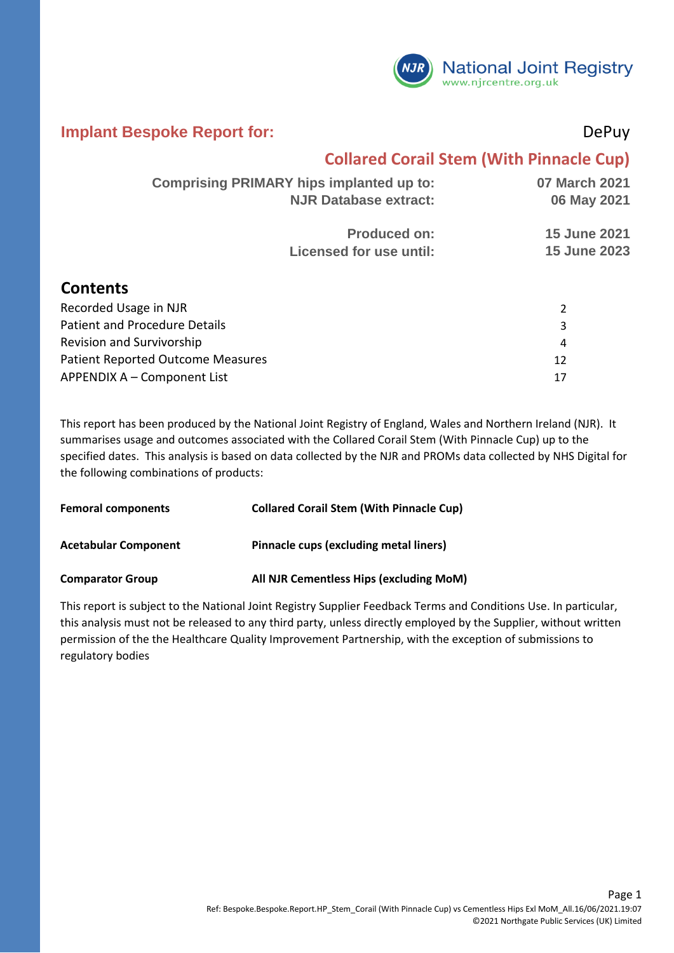

#### **Implant Bespoke Report for:** DePuy

**Contents**

### **Collared Corail Stem (With Pinnacle Cup)**

| <b>Comprising PRIMARY hips implanted up to:</b> | 07 March 2021       |
|-------------------------------------------------|---------------------|
| <b>NJR Database extract:</b>                    | 06 May 2021         |
| <b>Produced on:</b>                             | <b>15 June 2021</b> |
| Licensed for use until:                         | <b>15 June 2023</b> |
|                                                 |                     |

| Recorded Usage in NJR                    |               |
|------------------------------------------|---------------|
| Patient and Procedure Details            | 3             |
| <b>Revision and Survivorship</b>         | 4             |
| <b>Patient Reported Outcome Measures</b> | $12 \text{ }$ |
| APPENDIX A – Component List              | 17            |

This report has been produced by the National Joint Registry of England, Wales and Northern Ireland (NJR). It summarises usage and outcomes associated with the Collared Corail Stem (With Pinnacle Cup) up to the specified dates. This analysis is based on data collected by the NJR and PROMs data collected by NHS Digital for the following combinations of products:

| <b>Femoral components</b>   | <b>Collared Corail Stem (With Pinnacle Cup)</b> |
|-----------------------------|-------------------------------------------------|
| <b>Acetabular Component</b> | Pinnacle cups (excluding metal liners)          |
| <b>Comparator Group</b>     | All NJR Cementless Hips (excluding MoM)         |

This report is subject to the National Joint Registry Supplier Feedback Terms and Conditions Use. In particular, this analysis must not be released to any third party, unless directly employed by the Supplier, without written permission of the the Healthcare Quality Improvement Partnership, with the exception of submissions to regulatory bodies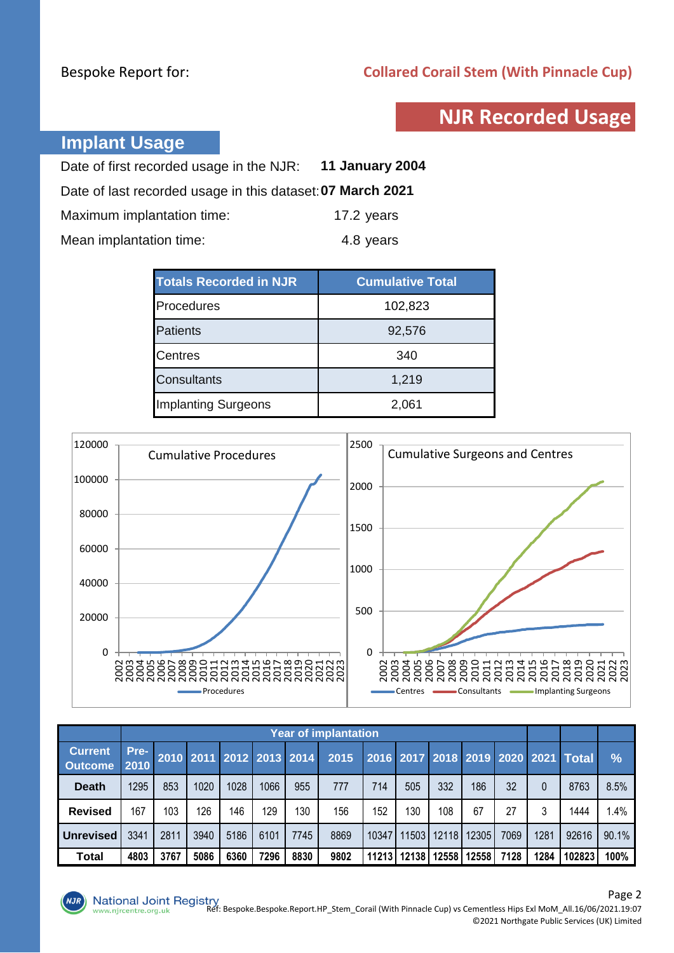# **NJR Recorded Usage**

## **Implant Usage**

| Date of first recorded usage in the NJR: 11 January 2004   |            |
|------------------------------------------------------------|------------|
| Date of last recorded usage in this dataset: 07 March 2021 |            |
| Maximum implantation time:                                 | 17.2 years |
| Mean implantation time:                                    | 4.8 years  |

| <b>Totals Recorded in NJR</b> | <b>Cumulative Total</b> |
|-------------------------------|-------------------------|
| Procedures                    | 102,823                 |
| Patients                      | 92,576                  |
| <b>Centres</b>                | 340                     |
| <b>Consultants</b>            | 1,219                   |
| <b>Implanting Surgeons</b>    | 2,061                   |



|                                  | <b>Year of implantation</b> |      |      |      |      |                          |      |       |             |       |       |      |      |                                     |       |
|----------------------------------|-----------------------------|------|------|------|------|--------------------------|------|-------|-------------|-------|-------|------|------|-------------------------------------|-------|
| <b>Current</b><br><b>Outcome</b> | Pre-<br>2010                |      |      |      |      | 2010 2011 2012 2013 2014 | 2015 |       |             |       |       |      |      | 2016 2017 2018 2019 2020 2021 Total | $\%$  |
| <b>Death</b>                     | 1295                        | 853  | 1020 | 1028 | 1066 | 955                      | 777  | 714   | 505         | 332   | 186   | 32   |      | 8763                                | 8.5%  |
| <b>Revised</b>                   | 167                         | 103  | 126  | 146  | 129  | 130                      | 156  | 152   | 130         | 108   | 67    | 27   |      | 1444                                | 1.4%  |
| <b>Unrevised</b>                 | 3341                        | 2811 | 3940 | 5186 | 6101 | 7745                     | 8869 | 10347 | 11503       | 12118 | 12305 | 7069 | 1281 | 92616                               | 90.1% |
| Total                            | 4803                        | 3767 | 5086 | 6360 | 7296 | 8830                     | 9802 |       | 11213 12138 | 12558 | 12558 | 7128 | 1284 | 102823                              | 100%  |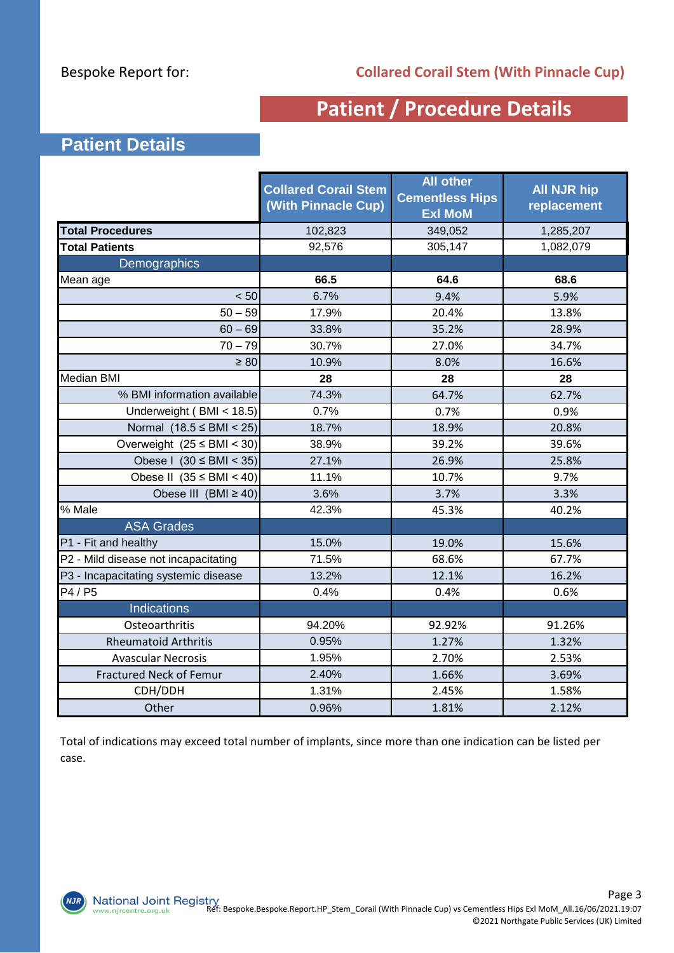# **Patient / Procedure Details**

## **Patient Details**

|                                      | <b>Collared Corail Stem</b><br>(With Pinnacle Cup) | <b>All other</b><br><b>Cementless Hips</b><br><b>Exl MoM</b> | <b>All NJR hip</b><br>replacement |
|--------------------------------------|----------------------------------------------------|--------------------------------------------------------------|-----------------------------------|
| <b>Total Procedures</b>              | 102,823                                            | 349,052                                                      | 1,285,207                         |
| <b>Total Patients</b>                | 92,576                                             | 305,147                                                      | 1,082,079                         |
| <b>Demographics</b>                  |                                                    |                                                              |                                   |
| Mean age                             | 66.5                                               | 64.6                                                         | 68.6                              |
| < 50                                 | 6.7%                                               | 9.4%                                                         | 5.9%                              |
| $50 - 59$                            | 17.9%                                              | 20.4%                                                        | 13.8%                             |
| $60 - 69$                            | 33.8%                                              | 35.2%                                                        | 28.9%                             |
| $70 - 79$                            | 30.7%                                              | 27.0%                                                        | 34.7%                             |
| $\geq 80$                            | 10.9%                                              | 8.0%                                                         | 16.6%                             |
| Median BMI                           | 28                                                 | 28                                                           | 28                                |
| % BMI information available          | 74.3%                                              | 64.7%                                                        | 62.7%                             |
| Underweight (BMI < 18.5)             | 0.7%                                               | 0.7%                                                         | 0.9%                              |
| Normal $(18.5 \leq BMI < 25)$        | 18.7%                                              | 18.9%                                                        | 20.8%                             |
| Overweight $(25 \leq BMI < 30)$      | 38.9%                                              | 39.2%                                                        | 39.6%                             |
| Obese I $(30 \leq BMI \leq 35)$      | 27.1%                                              | 26.9%                                                        | 25.8%                             |
| Obese II $(35 \leq BMI < 40)$        | 11.1%                                              | 10.7%                                                        | 9.7%                              |
| Obese III (BMI $\geq$ 40)            | 3.6%                                               | 3.7%                                                         | 3.3%                              |
| % Male                               | 42.3%                                              | 45.3%                                                        | 40.2%                             |
| <b>ASA Grades</b>                    |                                                    |                                                              |                                   |
| P1 - Fit and healthy                 | 15.0%                                              | 19.0%                                                        | 15.6%                             |
| P2 - Mild disease not incapacitating | 71.5%                                              | 68.6%                                                        | 67.7%                             |
| P3 - Incapacitating systemic disease | 13.2%                                              | 12.1%                                                        | 16.2%                             |
| P4 / P5                              | 0.4%                                               | 0.4%                                                         | 0.6%                              |
| <b>Indications</b>                   |                                                    |                                                              |                                   |
| Osteoarthritis                       | 94.20%                                             | 92.92%                                                       | 91.26%                            |
| <b>Rheumatoid Arthritis</b>          | 0.95%                                              | 1.27%                                                        | 1.32%                             |
| <b>Avascular Necrosis</b>            | 1.95%                                              | 2.70%                                                        | 2.53%                             |
| <b>Fractured Neck of Femur</b>       | 2.40%                                              | 1.66%                                                        | 3.69%                             |
| CDH/DDH                              | 1.31%                                              | 2.45%                                                        | 1.58%                             |
| Other                                | 0.96%                                              | 1.81%                                                        | 2.12%                             |

Total of indications may exceed total number of implants, since more than one indication can be listed per case.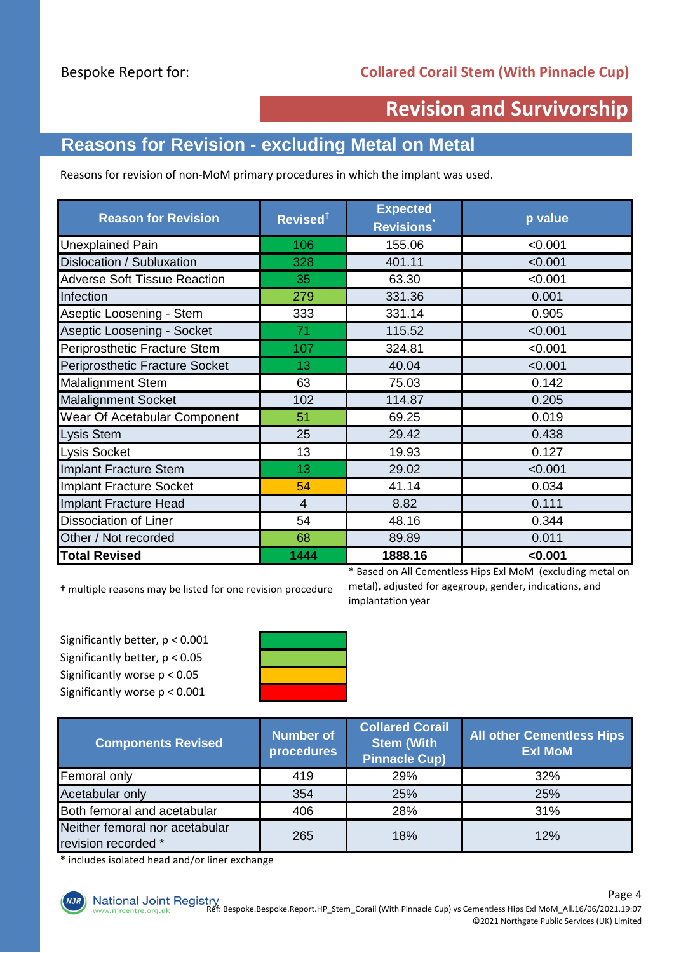# **Revision and Survivorship**

# **Reasons for Revision - excluding Metal on Metal**

Reasons for revision of non-MoM primary procedures in which the implant was used.

| <b>Reason for Revision</b>          | Revised <sup>†</sup> | <b>Expected</b><br><b>Revisions</b> | p value |
|-------------------------------------|----------------------|-------------------------------------|---------|
| <b>Unexplained Pain</b>             | 106                  | 155.06                              | < 0.001 |
| Dislocation / Subluxation           | 328                  | 401.11                              | < 0.001 |
| <b>Adverse Soft Tissue Reaction</b> | 35                   | 63.30                               | < 0.001 |
| Infection                           | 279                  | 331.36                              | 0.001   |
| Aseptic Loosening - Stem            | 333                  | 331.14                              | 0.905   |
| Aseptic Loosening - Socket          | 71                   | 115.52                              | < 0.001 |
| Periprosthetic Fracture Stem        | 107                  | 324.81                              | < 0.001 |
| Periprosthetic Fracture Socket      | 13                   | 40.04                               | < 0.001 |
| <b>Malalignment Stem</b>            | 63                   | 75.03                               | 0.142   |
| <b>Malalignment Socket</b>          | 102                  | 114.87                              | 0.205   |
| Wear Of Acetabular Component        | 51                   | 69.25                               | 0.019   |
| <b>Lysis Stem</b>                   | 25                   | 29.42                               | 0.438   |
| <b>Lysis Socket</b>                 | 13                   | 19.93                               | 0.127   |
| Implant Fracture Stem               | 13                   | 29.02                               | < 0.001 |
| Implant Fracture Socket             | 54                   | 41.14                               | 0.034   |
| Implant Fracture Head               | 4                    | 8.82                                | 0.111   |
| <b>Dissociation of Liner</b>        | 54                   | 48.16                               | 0.344   |
| Other / Not recorded                | 68                   | 89.89                               | 0.011   |
| <b>Total Revised</b>                | 1444                 | 1888.16                             | < 0.001 |

† multiple reasons may be listed for one revision procedure

\* Based on All Cementless Hips Exl MoM (excluding metal on metal), adjusted for agegroup, gender, indications, and implantation year

Significantly better, p < 0.001 Significantly better, p < 0.05 Significantly worse p < 0.05 Significantly worse p < 0.001



| <b>Components Revised</b>                             | <b>Number of</b><br>procedures | <b>Collared Corail</b><br><b>Stem (With</b><br><b>Pinnacle Cup)</b> | <b>All other Cementless Hips</b><br><b>Exl MoM</b> |  |
|-------------------------------------------------------|--------------------------------|---------------------------------------------------------------------|----------------------------------------------------|--|
| Femoral only                                          | 419<br>29%                     |                                                                     | 32%                                                |  |
| Acetabular only                                       | 354                            | 25%                                                                 | 25%                                                |  |
| Both femoral and acetabular                           | 406                            | 28%                                                                 | 31%                                                |  |
| Neither femoral nor acetabular<br>revision recorded * | 265                            | 18%                                                                 | 12%                                                |  |

\* includes isolated head and/or liner exchange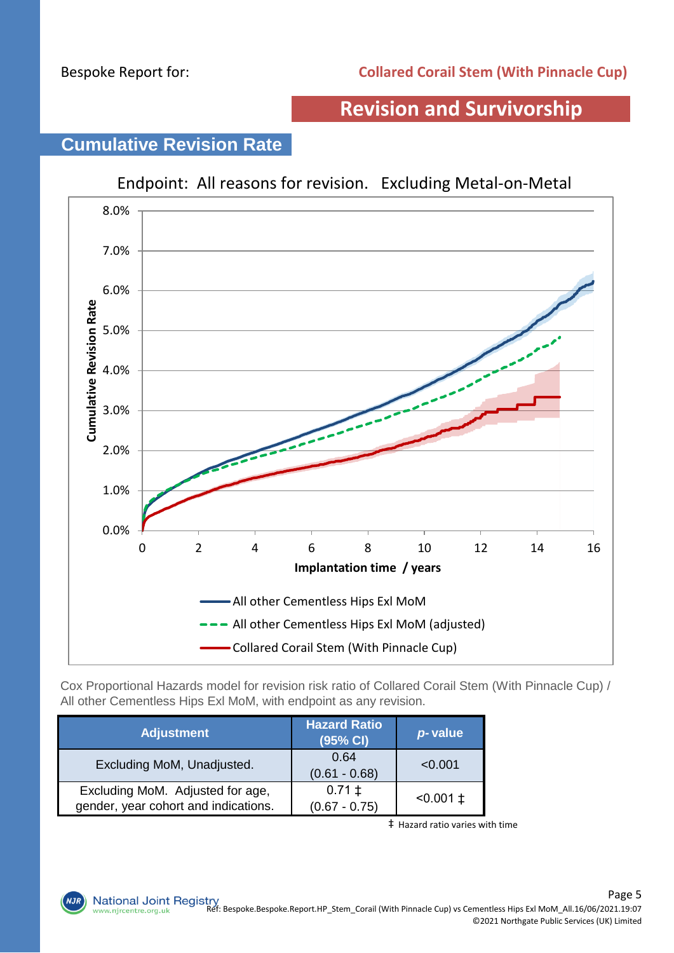## **Revision and Survivorship**



# **Cumulative Revision Rate**

Cox Proportional Hazards model for revision risk ratio of Collared Corail Stem (With Pinnacle Cup) / All other Cementless Hips Exl MoM, with endpoint as any revision.

| <b>Adjustment</b>                                                        | <b>Hazard Ratio</b><br>(95% CI) | p-value         |
|--------------------------------------------------------------------------|---------------------------------|-----------------|
| Excluding MoM, Unadjusted.                                               | 0.64<br>$(0.61 - 0.68)$         | < 0.001         |
| Excluding MoM. Adjusted for age,<br>gender, year cohort and indications. | $0.71 \pm$<br>$(0.67 - 0.75)$   | $< 0.001 \pm 1$ |

‡ Hazard ratio varies with time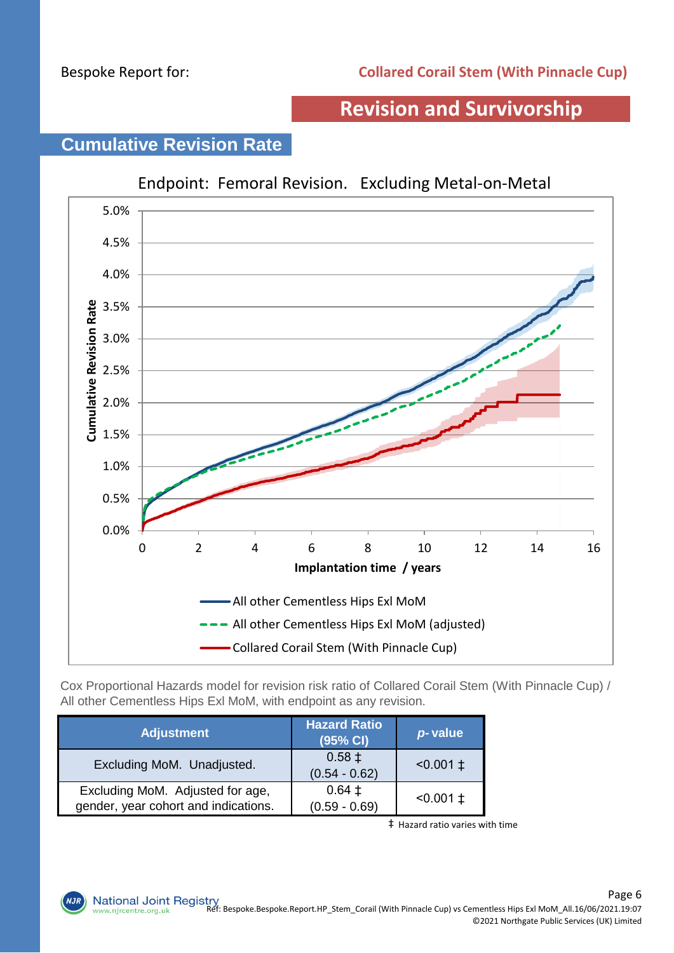## **Revision and Survivorship**

# **Cumulative Revision Rate**



Cox Proportional Hazards model for revision risk ratio of Collared Corail Stem (With Pinnacle Cup) / All other Cementless Hips Exl MoM, with endpoint as any revision.

| <b>Adjustment</b>                                                        | <b>Hazard Ratio</b><br>(95% CI) | p-value         |
|--------------------------------------------------------------------------|---------------------------------|-----------------|
| Excluding MoM. Unadjusted.                                               | $0.58 \pm$<br>$(0.54 - 0.62)$   | $< 0.001 \pm 1$ |
| Excluding MoM. Adjusted for age,<br>gender, year cohort and indications. | $0.64 \pm$<br>$(0.59 - 0.69)$   | $< 0.001 \pm 1$ |

‡ Hazard ratio varies with time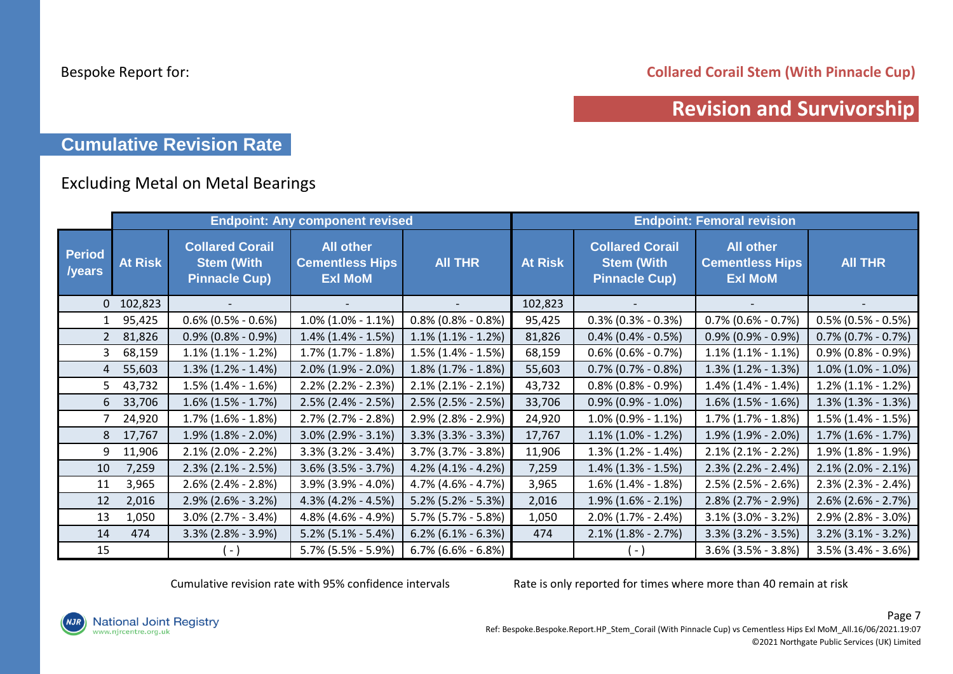**Collared Corail Stem (With Pinnacle Cup)**

## **Revision and Survivorship**

## **Cumulative Revision Rate**

### Excluding Metal on Metal Bearings

|                                |                |                                                                     | <b>Endpoint: Any component revised</b>                       |                       | <b>Endpoint: Femoral revision</b> |                                                                     |                                                              |                       |
|--------------------------------|----------------|---------------------------------------------------------------------|--------------------------------------------------------------|-----------------------|-----------------------------------|---------------------------------------------------------------------|--------------------------------------------------------------|-----------------------|
| <b>Period</b><br><b>/years</b> | <b>At Risk</b> | <b>Collared Corail</b><br><b>Stem (With</b><br><b>Pinnacle Cup)</b> | <b>All other</b><br><b>Cementless Hips</b><br><b>Exl MoM</b> | <b>AII THR</b>        | <b>At Risk</b>                    | <b>Collared Corail</b><br><b>Stem (With</b><br><b>Pinnacle Cup)</b> | <b>All other</b><br><b>Cementless Hips</b><br><b>Exl MoM</b> | <b>AII THR</b>        |
|                                | $0$ 102,823    |                                                                     |                                                              |                       | 102,823                           |                                                                     |                                                              |                       |
| $\mathbf{1}$                   | 95,425         | $0.6\%$ (0.5% - 0.6%)                                               | $1.0\%$ (1.0% - 1.1%)                                        | $0.8\%$ (0.8% - 0.8%) | 95,425                            | $0.3\%$ (0.3% - 0.3%)                                               | $0.7\%$ (0.6% - 0.7%)                                        | $0.5\%$ (0.5% - 0.5%) |
| $2^{\circ}$                    | 81,826         | $0.9\%$ (0.8% - 0.9%)                                               | $1.4\%$ (1.4% - 1.5%)                                        | $1.1\%$ (1.1% - 1.2%) | 81,826                            | $0.4\%$ (0.4% - 0.5%)                                               | $0.9\%$ (0.9% - 0.9%)                                        | $0.7\%$ (0.7% - 0.7%) |
| 3                              | 68,159         | $1.1\%$ (1.1% - 1.2%)                                               | $1.7\%$ $(1.7\% - 1.8\%)$                                    | $1.5\%$ (1.4% - 1.5%) | 68,159                            | $0.6\%$ (0.6% - 0.7%)                                               | $1.1\%$ (1.1% - 1.1%)                                        | $0.9\%$ (0.8% - 0.9%) |
| $\overline{4}$                 | 55,603         | $1.3\%$ (1.2% - 1.4%)                                               | $2.0\%$ (1.9% - 2.0%)                                        | $1.8\%$ (1.7% - 1.8%) | 55,603                            | $0.7\%$ (0.7% - 0.8%)                                               | $1.3\%$ (1.2% - 1.3%)                                        | $1.0\%$ (1.0% - 1.0%) |
| 5                              | 43,732         | $1.5\%$ (1.4% - 1.6%)                                               | $2.2\%$ (2.2% - 2.3%)                                        | $2.1\%$ (2.1% - 2.1%) | 43,732                            | $0.8\%$ (0.8% - 0.9%)                                               | $1.4\%$ (1.4% - 1.4%)                                        | $1.2\%$ (1.1% - 1.2%) |
| 6                              | 33,706         | $1.6\%$ (1.5% - 1.7%)                                               | $2.5\%$ (2.4% - 2.5%)                                        | $2.5\%$ (2.5% - 2.5%) | 33,706                            | $0.9\%$ (0.9% - 1.0%)                                               | $1.6\%$ (1.5% - 1.6%)                                        | $1.3\%$ (1.3% - 1.3%) |
|                                | 24,920         | $1.7\%$ (1.6% - 1.8%)                                               | $2.7\%$ (2.7% - 2.8%)                                        | 2.9% (2.8% - 2.9%)    | 24,920                            | $1.0\%$ (0.9% - 1.1%)                                               | $1.7\%$ $(1.7\% - 1.8\%)$                                    | $1.5\%$ (1.4% - 1.5%) |
| 8                              | 17,767         | $1.9\%$ (1.8% - 2.0%)                                               | $3.0\%$ (2.9% - 3.1%)                                        | $3.3\%$ (3.3% - 3.3%) | 17,767                            | $1.1\%$ (1.0% - 1.2%)                                               | $1.9\%$ (1.9% - 2.0%)                                        | $1.7\%$ (1.6% - 1.7%) |
| 9                              | 11,906         | $2.1\%$ (2.0% - 2.2%)                                               | $3.3\%$ (3.2% - 3.4%)                                        | $3.7\%$ (3.7% - 3.8%) | 11,906                            | $1.3\%$ (1.2% - 1.4%)                                               | $2.1\%$ (2.1% - 2.2%)                                        | $1.9\%$ (1.8% - 1.9%) |
| 10                             | 7,259          | $2.3\%$ (2.1% - 2.5%)                                               | $3.6\%$ (3.5% - 3.7%)                                        | $4.2\%$ (4.1% - 4.2%) | 7,259                             | $1.4\%$ (1.3% - 1.5%)                                               | $2.3\%$ (2.2% - 2.4%)                                        | $2.1\%$ (2.0% - 2.1%) |
| 11                             | 3,965          | $2.6\%$ (2.4% - 2.8%)                                               | 3.9% (3.9% - 4.0%)                                           | 4.7% (4.6% - 4.7%)    | 3,965                             | $1.6\%$ (1.4% - 1.8%)                                               | 2.5% (2.5% - 2.6%)                                           | $2.3\%$ (2.3% - 2.4%) |
| 12                             | 2,016          | $2.9\%$ (2.6% - 3.2%)                                               | 4.3% (4.2% - 4.5%)                                           | $5.2\%$ (5.2% - 5.3%) | 2,016                             | $1.9\%$ (1.6% - 2.1%)                                               | $2.8\%$ (2.7% - 2.9%)                                        | $2.6\%$ (2.6% - 2.7%) |
| 13                             | 1,050          | $3.0\%$ (2.7% - 3.4%)                                               | 4.8% (4.6% - 4.9%)                                           | $5.7\%$ (5.7% - 5.8%) | 1,050                             | $2.0\%$ (1.7% - 2.4%)                                               | $3.1\%$ (3.0% - 3.2%)                                        | $2.9\%$ (2.8% - 3.0%) |
| 14                             | 474            | $3.3\%$ (2.8% - 3.9%)                                               | $5.2\%$ (5.1% - 5.4%)                                        | $6.2\%$ (6.1% - 6.3%) | 474                               | $2.1\%$ (1.8% - 2.7%)                                               | $3.3\%$ (3.2% - 3.5%)                                        | $3.2\%$ (3.1% - 3.2%) |
| 15                             |                | ( - )                                                               | 5.7% (5.5% - 5.9%)                                           | $6.7\%$ (6.6% - 6.8%) |                                   | ( - )                                                               | $3.6\%$ (3.5% - 3.8%)                                        | $3.5\%$ (3.4% - 3.6%) |

Cumulative revision rate with 95% confidence intervals Rate is only reported for times where more than 40 remain at risk

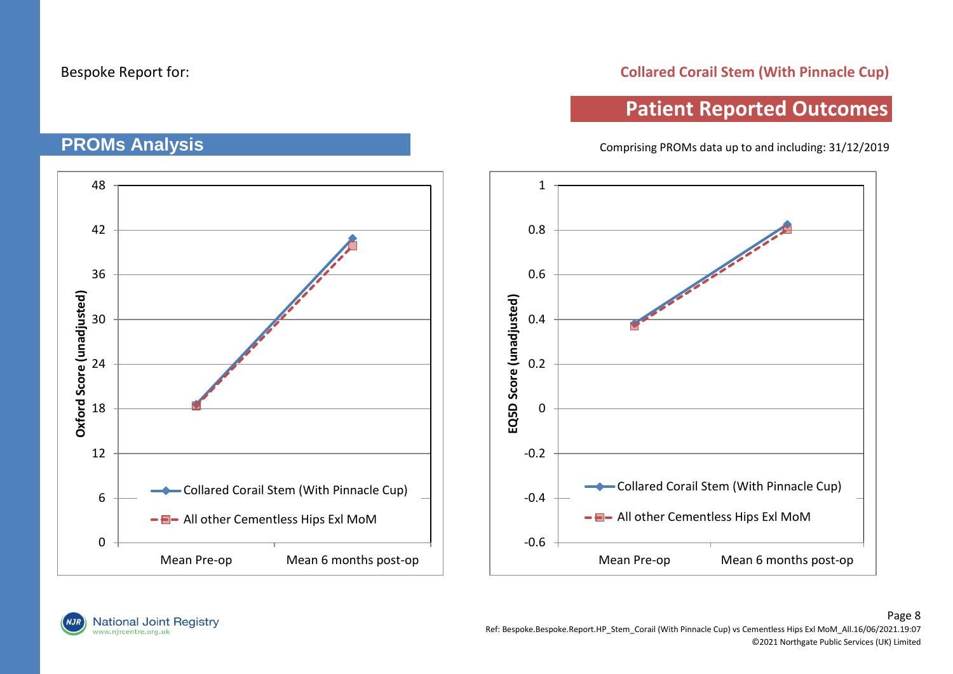**PROMs Analysis**

#### **Collared Corail Stem (With Pinnacle Cup)**

## **Patient Reported Outcomes**

Comprising PROMs data up to and including: 31/12/2019

# 48 42 36 Oxford Score (unadjusted) **Oxford Score (unadjusted)** 30 24 18 12 **-Collared Corail Stem (With Pinnacle Cup)** 6 -  $\blacksquare$  All other Cementless Hips Exl MoM  $\Omega$ Mean Pre-op Mean 6 months post-op



National Joint Registry<br>www.njrcentre.org.uk

Page 8 Ref: Bespoke.Bespoke.Report.HP\_Stem\_Corail (With Pinnacle Cup) vs Cementless Hips Exl MoM\_All.16/06/2021.19:07 ©2021 Northgate Public Services (UK) Limited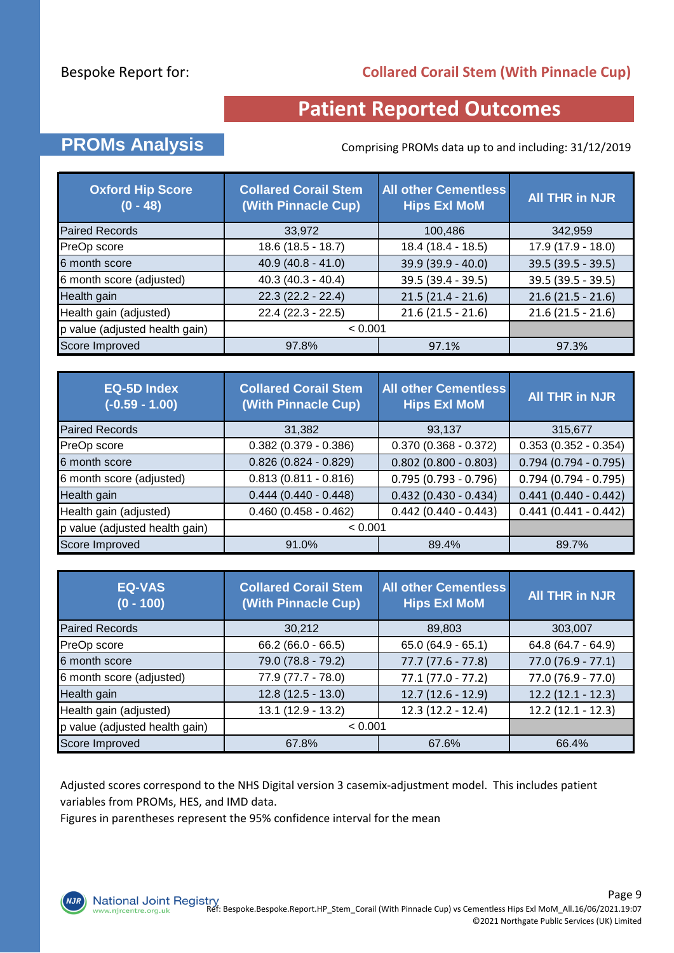#### **Collared Corail Stem (With Pinnacle Cup)**

# **Patient Reported Outcomes**

## **PROMs Analysis** Comprising PROMs data up to and including: 31/12/2019

| <b>Oxford Hip Score</b><br>$(0 - 48)$ | <b>Collared Corail Stem</b><br>(With Pinnacle Cup) | <b>All other Cementless</b><br><b>Hips Exl MoM</b> | <b>All THR in NJR</b> |
|---------------------------------------|----------------------------------------------------|----------------------------------------------------|-----------------------|
| <b>Paired Records</b>                 | 33,972                                             | 100,486                                            | 342,959               |
| PreOp score                           | $18.6(18.5 - 18.7)$                                | 18.4 (18.4 - 18.5)                                 | 17.9 (17.9 - 18.0)    |
| 6 month score                         | $40.9(40.8 - 41.0)$                                | 39.9 (39.9 - 40.0)                                 | $39.5(39.5 - 39.5)$   |
| 6 month score (adjusted)              | $40.3(40.3 - 40.4)$                                | 39.5 (39.4 - 39.5)                                 | 39.5 (39.5 - 39.5)    |
| Health gain                           | $22.3(22.2 - 22.4)$                                | $21.5(21.4 - 21.6)$                                | $21.6(21.5 - 21.6)$   |
| Health gain (adjusted)                | $22.4(22.3 - 22.5)$                                | $21.6(21.5 - 21.6)$                                | $21.6(21.5 - 21.6)$   |
| p value (adjusted health gain)        | < 0.001                                            |                                                    |                       |
| Score Improved                        | 97.8%                                              | 97.1%                                              | 97.3%                 |

| <b>EQ-5D Index</b><br>$(-0.59 - 1.00)$ | <b>Collared Corail Stem</b><br>(With Pinnacle Cup) | <b>All other Cementless</b><br><b>Hips Exl MoM</b> | <b>All THR in NJR</b>  |
|----------------------------------------|----------------------------------------------------|----------------------------------------------------|------------------------|
| <b>Paired Records</b>                  | 31,382                                             | 93,137                                             | 315,677                |
| PreOp score                            | $0.382$ (0.379 - 0.386)                            | $0.370(0.368 - 0.372)$                             | $0.353(0.352 - 0.354)$ |
| 6 month score                          | $0.826(0.824 - 0.829)$                             | $0.802$ (0.800 - 0.803)                            | $0.794(0.794 - 0.795)$ |
| 6 month score (adjusted)               | $0.813(0.811 - 0.816)$                             | $0.795(0.793 - 0.796)$                             | $0.794(0.794 - 0.795)$ |
| Health gain                            | $0.444(0.440 - 0.448)$                             | $0.432$ (0.430 - 0.434)                            | $0.441(0.440 - 0.442)$ |
| Health gain (adjusted)                 | $0.460(0.458 - 0.462)$                             | $0.442(0.440 - 0.443)$                             | $0.441(0.441 - 0.442)$ |
| p value (adjusted health gain)         | < 0.001                                            |                                                    |                        |
| Score Improved                         | 91.0%                                              | 89.4%                                              | 89.7%                  |

| <b>EQ-VAS</b><br>$(0 - 100)$   | <b>Collared Corail Stem</b><br>(With Pinnacle Cup) | <b>All other Cementless</b><br><b>Hips Exl MoM</b> | <b>All THR in NJR</b> |
|--------------------------------|----------------------------------------------------|----------------------------------------------------|-----------------------|
| <b>Paired Records</b>          | 30,212                                             | 89,803                                             | 303,007               |
| PreOp score                    | $66.2(66.0 - 66.5)$                                | $65.0(64.9 - 65.1)$                                | 64.8 (64.7 - 64.9)    |
| 6 month score                  | 79.0 (78.8 - 79.2)                                 | $77.7(77.6 - 77.8)$                                | $77.0(76.9 - 77.1)$   |
| 6 month score (adjusted)       | 77.9 (77.7 - 78.0)                                 | $77.1(77.0 - 77.2)$                                | $77.0(76.9 - 77.0)$   |
| Health gain                    | $12.8(12.5 - 13.0)$                                | $12.7(12.6 - 12.9)$                                | $12.2(12.1 - 12.3)$   |
| Health gain (adjusted)         | 13.1 (12.9 - 13.2)                                 | $12.3(12.2 - 12.4)$                                | $12.2(12.1 - 12.3)$   |
| p value (adjusted health gain) | < 0.001                                            |                                                    |                       |
| Score Improved                 | 67.8%                                              | 67.6%                                              | 66.4%                 |

Adjusted scores correspond to the NHS Digital version 3 casemix-adjustment model. This includes patient variables from PROMs, HES, and IMD data.

Figures in parentheses represent the 95% confidence interval for the mean

**NJR**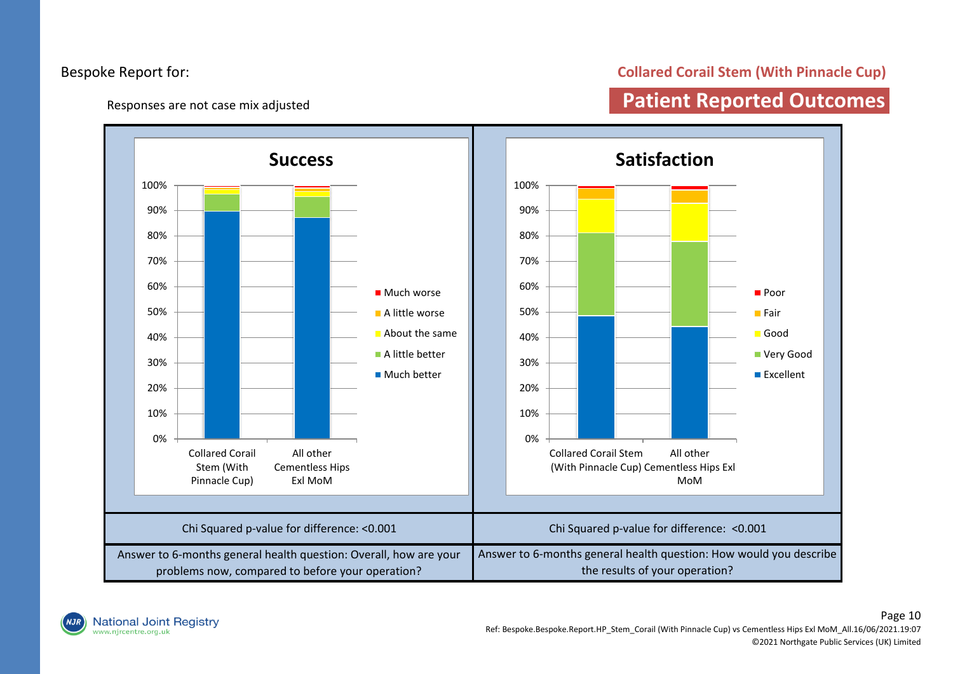Responses are not case mix adjusted

#### **Collared Corail Stem (With Pinnacle Cup)**

# **Patient Reported Outcomes**

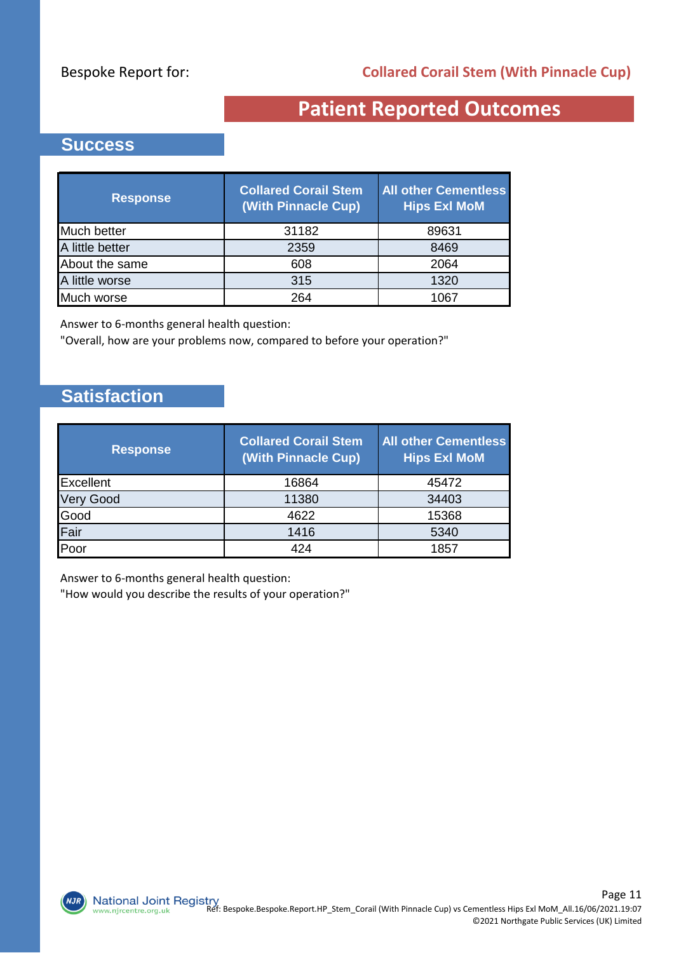# **Patient Reported Outcomes**

### **Success**

| <b>Response</b> | <b>Collared Corail Stem</b><br>(With Pinnacle Cup) | <b>All other Cementless</b><br><b>Hips Exl MoM</b> |
|-----------------|----------------------------------------------------|----------------------------------------------------|
| Much better     | 31182                                              | 89631                                              |
| A little better | 2359                                               | 8469                                               |
| About the same  | 608                                                | 2064                                               |
| A little worse  | 315                                                | 1320                                               |
| Much worse      | 264                                                | 1067                                               |

Answer to 6-months general health question:

"Overall, how are your problems now, compared to before your operation?"

## **Satisfaction**

 $NJI$ 

| <b>Response</b>  | <b>Collared Corail Stem</b><br>(With Pinnacle Cup) | <b>All other Cementless</b><br><b>Hips Exl MoM</b> |
|------------------|----------------------------------------------------|----------------------------------------------------|
| Excellent        | 16864                                              | 45472                                              |
| <b>Very Good</b> | 11380                                              | 34403                                              |
| Good             | 4622                                               | 15368                                              |
| Fair             | 1416                                               | 5340                                               |
| Poor             | 424                                                | 1857                                               |

Answer to 6-months general health question:

"How would you describe the results of your operation?"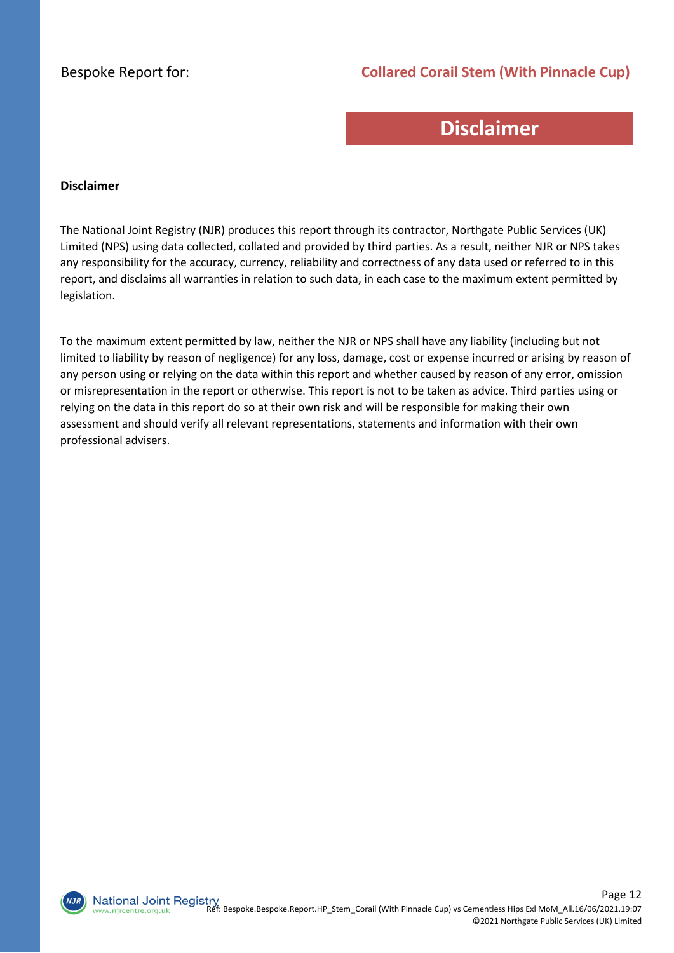#### **Collared Corail Stem (With Pinnacle Cup)**

## **Disclaimer**

#### **Disclaimer**

The National Joint Registry (NJR) produces this report through its contractor, Northgate Public Services (UK) Limited (NPS) using data collected, collated and provided by third parties. As a result, neither NJR or NPS takes any responsibility for the accuracy, currency, reliability and correctness of any data used or referred to in this report, and disclaims all warranties in relation to such data, in each case to the maximum extent permitted by legislation.

To the maximum extent permitted by law, neither the NJR or NPS shall have any liability (including but not limited to liability by reason of negligence) for any loss, damage, cost or expense incurred or arising by reason of any person using or relying on the data within this report and whether caused by reason of any error, omission or misrepresentation in the report or otherwise. This report is not to be taken as advice. Third parties using or relying on the data in this report do so at their own risk and will be responsible for making their own assessment and should verify all relevant representations, statements and information with their own professional advisers.